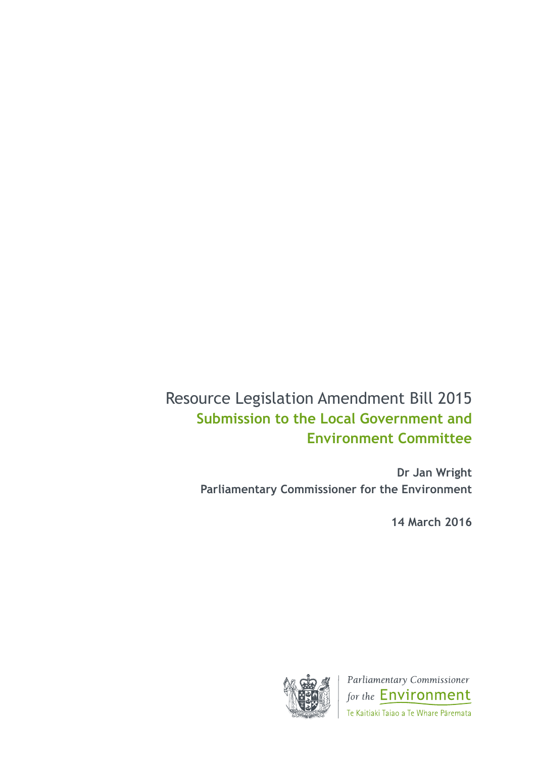# Resource Legislation Amendment Bill 2015 **Submission to the Local Government and Environment Committee**

**Dr Jan Wright Parliamentary Commissioner for the Environment** 

**14 March 2016**



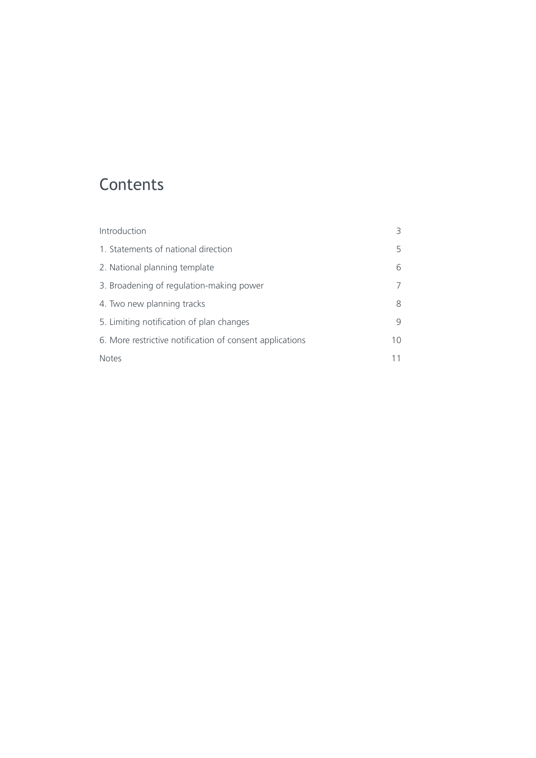# **Contents**

| Introduction                                             |    |
|----------------------------------------------------------|----|
| 1. Statements of national direction                      | 5  |
| 2. National planning template                            | 6  |
| 3. Broadening of regulation-making power                 |    |
| 4. Two new planning tracks                               | 8  |
| 5. Limiting notification of plan changes                 | q  |
| 6. More restrictive notification of consent applications | 10 |
| <b>Notes</b>                                             |    |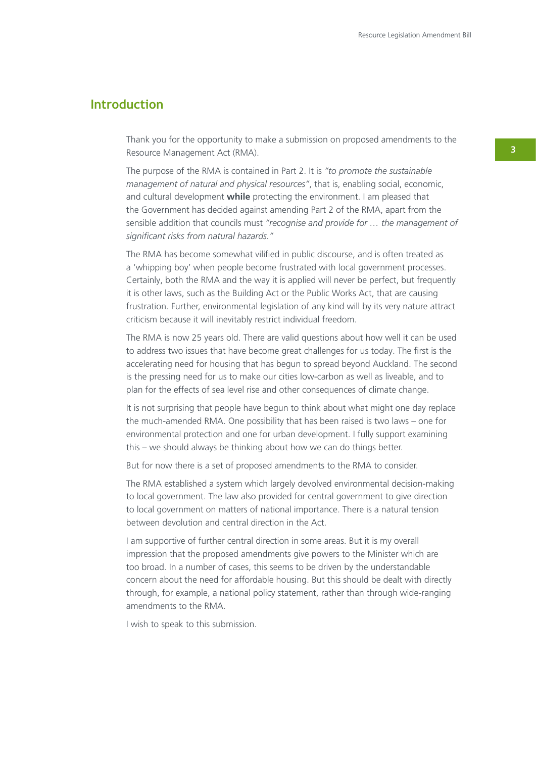### **Introduction**

Thank you for the opportunity to make a submission on proposed amendments to the Resource Management Act (RMA).

The purpose of the RMA is contained in Part 2. It is *"to promote the sustainable management of natural and physical resources"*, that is, enabling social, economic, and cultural development **while** protecting the environment. I am pleased that the Government has decided against amending Part 2 of the RMA, apart from the sensible addition that councils must *"recognise and provide for … the management of significant risks from natural hazards."*

The RMA has become somewhat vilified in public discourse, and is often treated as a 'whipping boy' when people become frustrated with local government processes. Certainly, both the RMA and the way it is applied will never be perfect, but frequently it is other laws, such as the Building Act or the Public Works Act, that are causing frustration. Further, environmental legislation of any kind will by its very nature attract criticism because it will inevitably restrict individual freedom.

The RMA is now 25 years old. There are valid questions about how well it can be used to address two issues that have become great challenges for us today. The first is the accelerating need for housing that has begun to spread beyond Auckland. The second is the pressing need for us to make our cities low-carbon as well as liveable, and to plan for the effects of sea level rise and other consequences of climate change.

It is not surprising that people have begun to think about what might one day replace the much-amended RMA. One possibility that has been raised is two laws – one for environmental protection and one for urban development. I fully support examining this – we should always be thinking about how we can do things better.

But for now there is a set of proposed amendments to the RMA to consider.

The RMA established a system which largely devolved environmental decision-making to local government. The law also provided for central government to give direction to local government on matters of national importance. There is a natural tension between devolution and central direction in the Act.

I am supportive of further central direction in some areas. But it is my overall impression that the proposed amendments give powers to the Minister which are too broad. In a number of cases, this seems to be driven by the understandable concern about the need for affordable housing. But this should be dealt with directly through, for example, a national policy statement, rather than through wide-ranging amendments to the RMA.

I wish to speak to this submission.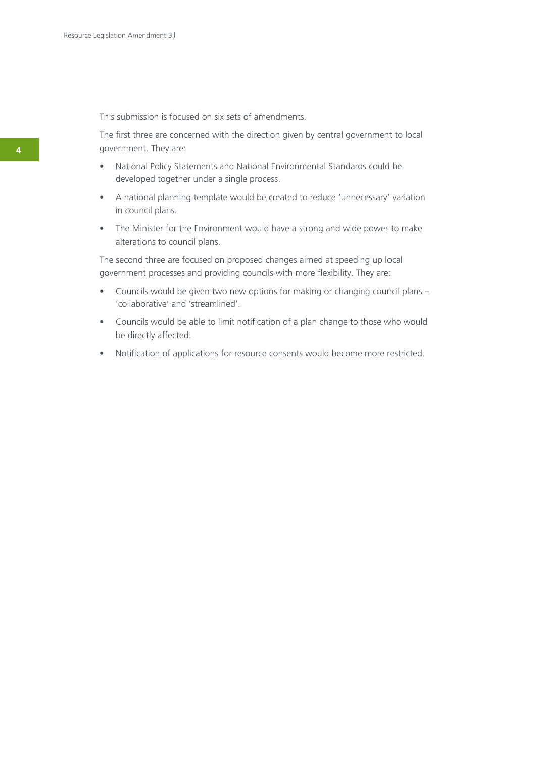This submission is focused on six sets of amendments.

The first three are concerned with the direction given by central government to local government. They are:

- National Policy Statements and National Environmental Standards could be developed together under a single process.
- A national planning template would be created to reduce 'unnecessary' variation in council plans.
- The Minister for the Environment would have a strong and wide power to make alterations to council plans.

The second three are focused on proposed changes aimed at speeding up local government processes and providing councils with more flexibility. They are:

- Councils would be given two new options for making or changing council plans 'collaborative' and 'streamlined'.
- Councils would be able to limit notification of a plan change to those who would be directly affected.
- Notification of applications for resource consents would become more restricted.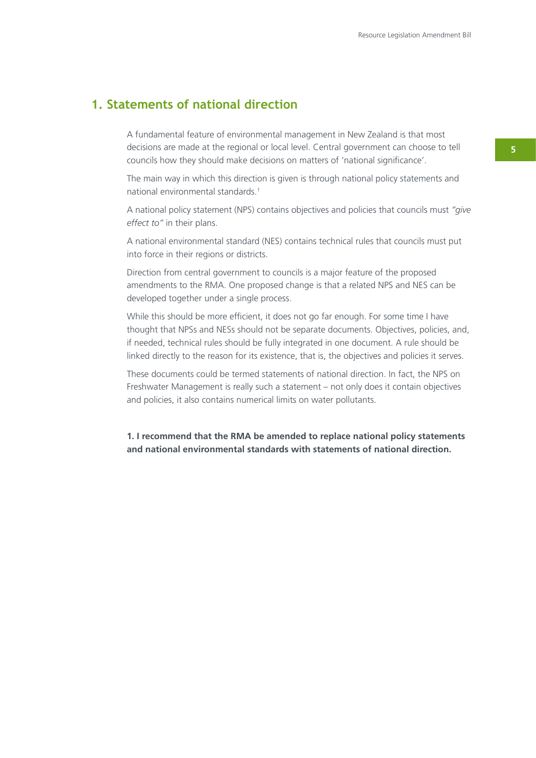## **1. Statements of national direction**

A fundamental feature of environmental management in New Zealand is that most decisions are made at the regional or local level. Central government can choose to tell councils how they should make decisions on matters of 'national significance'.

The main way in which this direction is given is through national policy statements and national environmental standards.<sup>1</sup>

A national policy statement (NPS) contains objectives and policies that councils must *"give effect to"* in their plans.

A national environmental standard (NES) contains technical rules that councils must put into force in their regions or districts.

Direction from central government to councils is a major feature of the proposed amendments to the RMA. One proposed change is that a related NPS and NES can be developed together under a single process.

While this should be more efficient, it does not go far enough. For some time I have thought that NPSs and NESs should not be separate documents. Objectives, policies, and, if needed, technical rules should be fully integrated in one document. A rule should be linked directly to the reason for its existence, that is, the objectives and policies it serves.

These documents could be termed statements of national direction. In fact, the NPS on Freshwater Management is really such a statement – not only does it contain objectives and policies, it also contains numerical limits on water pollutants.

**1. I recommend that the RMA be amended to replace national policy statements and national environmental standards with statements of national direction.**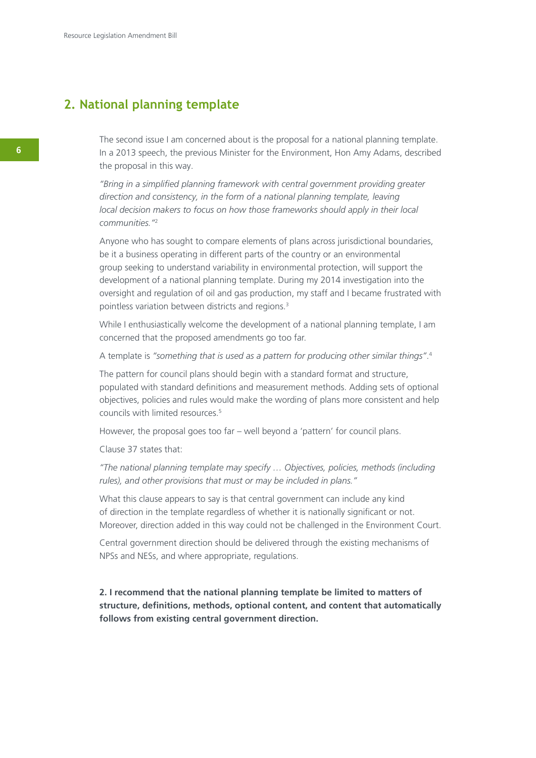### **2. National planning template**

The second issue I am concerned about is the proposal for a national planning template. In a 2013 speech, the previous Minister for the Environment, Hon Amy Adams, described the proposal in this way.

*"Bring in a simplified planning framework with central government providing greater direction and consistency, in the form of a national planning template, leaving local decision makers to focus on how those frameworks should apply in their local communities."*<sup>2</sup>

Anyone who has sought to compare elements of plans across jurisdictional boundaries, be it a business operating in different parts of the country or an environmental group seeking to understand variability in environmental protection, will support the development of a national planning template. During my 2014 investigation into the oversight and regulation of oil and gas production, my staff and I became frustrated with pointless variation between districts and regions.<sup>3</sup>

While I enthusiastically welcome the development of a national planning template, I am concerned that the proposed amendments go too far.

A template is *"something that is used as a pattern for producing other similar things"*. 4

The pattern for council plans should begin with a standard format and structure, populated with standard definitions and measurement methods. Adding sets of optional objectives, policies and rules would make the wording of plans more consistent and help councils with limited resources.5

However, the proposal goes too far – well beyond a 'pattern' for council plans.

Clause 37 states that:

*"The national planning template may specify … Objectives, policies, methods (including rules), and other provisions that must or may be included in plans."* 

What this clause appears to say is that central government can include any kind of direction in the template regardless of whether it is nationally significant or not. Moreover, direction added in this way could not be challenged in the Environment Court.

Central government direction should be delivered through the existing mechanisms of NPSs and NESs, and where appropriate, regulations.

**2. I recommend that the national planning template be limited to matters of structure, definitions, methods, optional content, and content that automatically follows from existing central government direction.**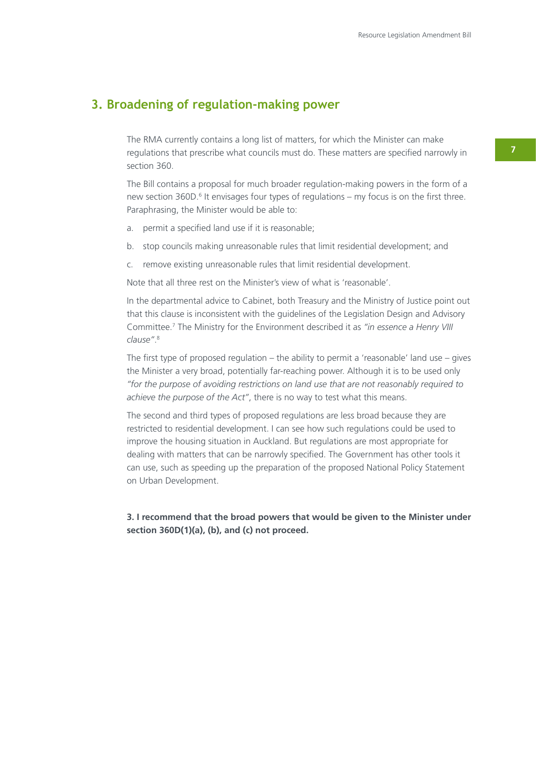### **3. Broadening of regulation-making power**

The RMA currently contains a long list of matters, for which the Minister can make regulations that prescribe what councils must do. These matters are specified narrowly in section 360.

The Bill contains a proposal for much broader regulation-making powers in the form of a new section 360D.<sup>6</sup> It envisages four types of regulations – my focus is on the first three. Paraphrasing, the Minister would be able to:

- a. permit a specified land use if it is reasonable;
- b. stop councils making unreasonable rules that limit residential development; and
- c. remove existing unreasonable rules that limit residential development.

Note that all three rest on the Minister's view of what is 'reasonable'.

In the departmental advice to Cabinet, both Treasury and the Ministry of Justice point out that this clause is inconsistent with the guidelines of the Legislation Design and Advisory Committee.7 The Ministry for the Environment described it as *"in essence a Henry VIII clause"*. 8

The first type of proposed regulation – the ability to permit a 'reasonable' land use – gives the Minister a very broad, potentially far-reaching power. Although it is to be used only *"for the purpose of avoiding restrictions on land use that are not reasonably required to achieve the purpose of the Act"*, there is no way to test what this means.

The second and third types of proposed regulations are less broad because they are restricted to residential development. I can see how such regulations could be used to improve the housing situation in Auckland. But regulations are most appropriate for dealing with matters that can be narrowly specified. The Government has other tools it can use, such as speeding up the preparation of the proposed National Policy Statement on Urban Development.

**3. I recommend that the broad powers that would be given to the Minister under section 360D(1)(a), (b), and (c) not proceed.**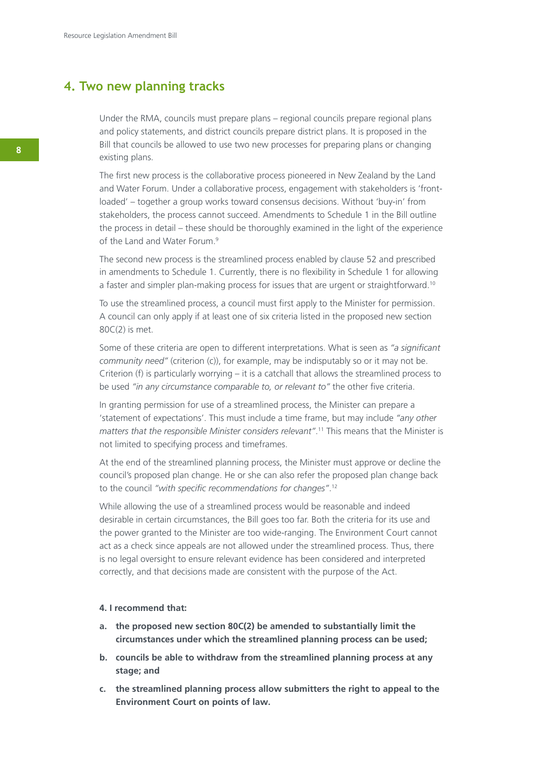### **4. Two new planning tracks**

Under the RMA, councils must prepare plans – regional councils prepare regional plans and policy statements, and district councils prepare district plans. It is proposed in the Bill that councils be allowed to use two new processes for preparing plans or changing existing plans.

The first new process is the collaborative process pioneered in New Zealand by the Land and Water Forum. Under a collaborative process, engagement with stakeholders is 'frontloaded' – together a group works toward consensus decisions. Without 'buy-in' from stakeholders, the process cannot succeed. Amendments to Schedule 1 in the Bill outline the process in detail – these should be thoroughly examined in the light of the experience of the Land and Water Forum.<sup>9</sup>

The second new process is the streamlined process enabled by clause 52 and prescribed in amendments to Schedule 1. Currently, there is no flexibility in Schedule 1 for allowing a faster and simpler plan-making process for issues that are urgent or straightforward.<sup>10</sup>

To use the streamlined process, a council must first apply to the Minister for permission. A council can only apply if at least one of six criteria listed in the proposed new section 80C(2) is met.

Some of these criteria are open to different interpretations. What is seen as *"a significant community need"* (criterion (c)), for example, may be indisputably so or it may not be. Criterion (f) is particularly worrying – it is a catchall that allows the streamlined process to be used *"in any circumstance comparable to, or relevant to"* the other five criteria.

In granting permission for use of a streamlined process, the Minister can prepare a 'statement of expectations'. This must include a time frame, but may include *"any other matters that the responsible Minister considers relevant"*. 11 This means that the Minister is not limited to specifying process and timeframes.

At the end of the streamlined planning process, the Minister must approve or decline the council's proposed plan change. He or she can also refer the proposed plan change back to the council *"with specific recommendations for changes"*. 12

While allowing the use of a streamlined process would be reasonable and indeed desirable in certain circumstances, the Bill goes too far. Both the criteria for its use and the power granted to the Minister are too wide-ranging. The Environment Court cannot act as a check since appeals are not allowed under the streamlined process. Thus, there is no legal oversight to ensure relevant evidence has been considered and interpreted correctly, and that decisions made are consistent with the purpose of the Act.

#### **4. I recommend that:**

- **a. the proposed new section 80C(2) be amended to substantially limit the circumstances under which the streamlined planning process can be used;**
- **b. councils be able to withdraw from the streamlined planning process at any stage; and**
- **c. the streamlined planning process allow submitters the right to appeal to the Environment Court on points of law.**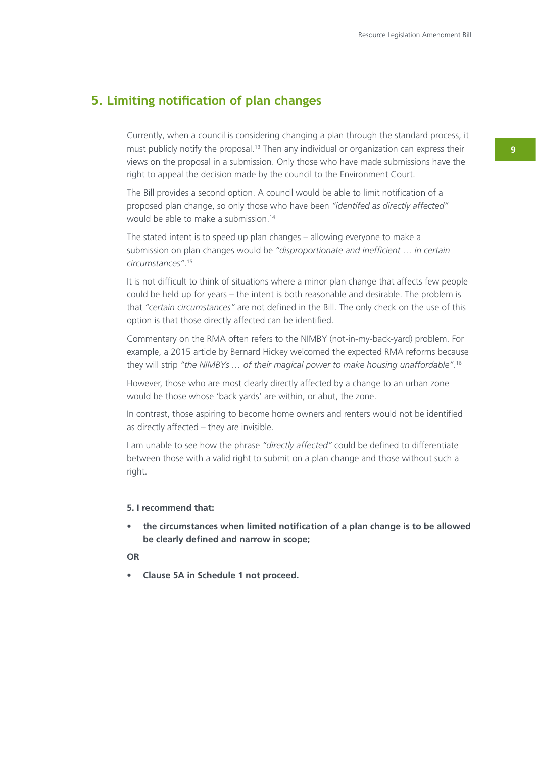### **5. Limiting notification of plan changes**

Currently, when a council is considering changing a plan through the standard process, it must publicly notify the proposal.<sup>13</sup> Then any individual or organization can express their views on the proposal in a submission. Only those who have made submissions have the right to appeal the decision made by the council to the Environment Court.

The Bill provides a second option. A council would be able to limit notification of a proposed plan change, so only those who have been *"identifed as directly affected"*  would be able to make a submission.14

The stated intent is to speed up plan changes – allowing everyone to make a submission on plan changes would be *"disproportionate and inefficient … in certain circumstances"*. 15

It is not difficult to think of situations where a minor plan change that affects few people could be held up for years – the intent is both reasonable and desirable. The problem is that *"certain circumstances"* are not defined in the Bill. The only check on the use of this option is that those directly affected can be identified.

Commentary on the RMA often refers to the NIMBY (not-in-my-back-yard) problem. For example, a 2015 article by Bernard Hickey welcomed the expected RMA reforms because they will strip *"the NIMBYs … of their magical power to make housing unaffordable"*. 16

However, those who are most clearly directly affected by a change to an urban zone would be those whose 'back yards' are within, or abut, the zone.

In contrast, those aspiring to become home owners and renters would not be identified as directly affected – they are invisible.

I am unable to see how the phrase *"directly affected"* could be defined to differentiate between those with a valid right to submit on a plan change and those without such a right.

#### **5. I recommend that:**

the circumstances when limited notification of a plan change is to be allowed **be clearly defined and narrow in scope;**

#### **OR**

**• Clause 5A in Schedule 1 not proceed.**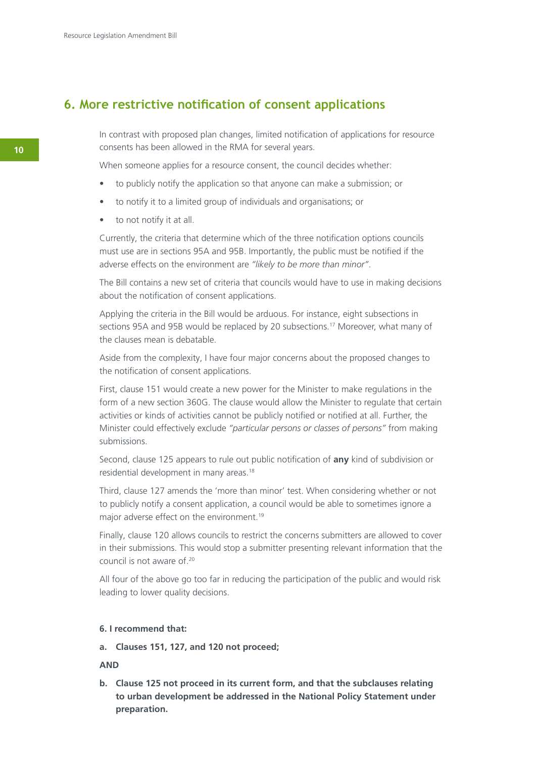### **6. More restrictive notification of consent applications**

In contrast with proposed plan changes, limited notification of applications for resource consents has been allowed in the RMA for several years.

When someone applies for a resource consent, the council decides whether:

- to publicly notify the application so that anyone can make a submission; or
- to notify it to a limited group of individuals and organisations; or
- • to not notify it at all.

Currently, the criteria that determine which of the three notification options councils must use are in sections 95A and 95B. Importantly, the public must be notified if the adverse effects on the environment are *"likely to be more than minor"*.

The Bill contains a new set of criteria that councils would have to use in making decisions about the notification of consent applications.

Applying the criteria in the Bill would be arduous. For instance, eight subsections in sections 95A and 95B would be replaced by 20 subsections.<sup>17</sup> Moreover, what many of the clauses mean is debatable.

Aside from the complexity, I have four major concerns about the proposed changes to the notification of consent applications.

First, clause 151 would create a new power for the Minister to make regulations in the form of a new section 360G. The clause would allow the Minister to regulate that certain activities or kinds of activities cannot be publicly notified or notified at all. Further, the Minister could effectively exclude *"particular persons or classes of persons"* from making submissions.

Second, clause 125 appears to rule out public notification of **any** kind of subdivision or residential development in many areas.18

Third, clause 127 amends the 'more than minor' test. When considering whether or not to publicly notify a consent application, a council would be able to sometimes ignore a major adverse effect on the environment.<sup>19</sup>

Finally, clause 120 allows councils to restrict the concerns submitters are allowed to cover in their submissions. This would stop a submitter presenting relevant information that the council is not aware of.20

All four of the above go too far in reducing the participation of the public and would risk leading to lower quality decisions.

#### **6. I recommend that:**

**a. Clauses 151, 127, and 120 not proceed;** 

#### **AND**

**b. Clause 125 not proceed in its current form, and that the subclauses relating to urban development be addressed in the National Policy Statement under preparation.**